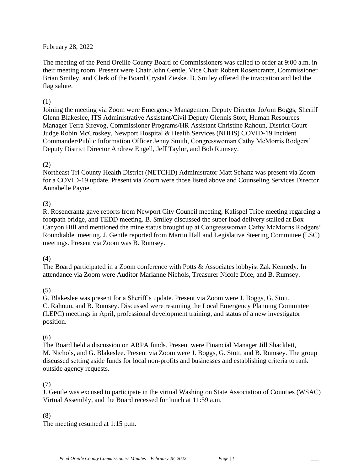### February 28, 2022

The meeting of the Pend Oreille County Board of Commissioners was called to order at 9:00 a.m. in their meeting room. Present were Chair John Gentle, Vice Chair Robert Rosencrantz, Commissioner Brian Smiley, and Clerk of the Board Crystal Zieske. B. Smiley offered the invocation and led the flag salute.

#### (1)

Joining the meeting via Zoom were Emergency Management Deputy Director JoAnn Boggs, Sheriff Glenn Blakeslee, ITS Administrative Assistant/Civil Deputy Glennis Stott, Human Resources Manager Terra Sirevog, Commissioner Programs/HR Assistant Christine Rahoun, District Court Judge Robin McCroskey, Newport Hospital & Health Services (NHHS) COVID-19 Incident Commander/Public Information Officer Jenny Smith, Congresswoman Cathy McMorris Rodgers' Deputy District Director Andrew Engell, Jeff Taylor, and Bob Rumsey.

### (2)

Northeast Tri County Health District (NETCHD) Administrator Matt Schanz was present via Zoom for a COVID-19 update. Present via Zoom were those listed above and Counseling Services Director Annabelle Payne.

## (3)

R. Rosencrantz gave reports from Newport City Council meeting, Kalispel Tribe meeting regarding a footpath bridge, and TEDD meeting. B. Smiley discussed the super load delivery stalled at Box Canyon Hill and mentioned the mine status brought up at Congresswoman Cathy McMorris Rodgers' Roundtable meeting. J. Gentle reported from Martin Hall and Legislative Steering Committee (LSC) meetings. Present via Zoom was B. Rumsey.

## (4)

The Board participated in a Zoom conference with Potts & Associates lobbyist Zak Kennedy. In attendance via Zoom were Auditor Marianne Nichols, Treasurer Nicole Dice, and B. Rumsey.

## (5)

G. Blakeslee was present for a Sheriff's update. Present via Zoom were J. Boggs, G. Stott, C. Rahoun, and B. Rumsey. Discussed were resuming the Local Emergency Planning Committee (LEPC) meetings in April, professional development training, and status of a new investigator position.

#### (6)

The Board held a discussion on ARPA funds. Present were Financial Manager Jill Shacklett, M. Nichols, and G. Blakeslee. Present via Zoom were J. Boggs, G. Stott, and B. Rumsey. The group discussed setting aside funds for local non-profits and businesses and establishing criteria to rank outside agency requests.

## (7)

J. Gentle was excused to participate in the virtual Washington State Association of Counties (WSAC) Virtual Assembly, and the Board recessed for lunch at 11:59 a.m.

#### (8)

The meeting resumed at 1:15 p.m.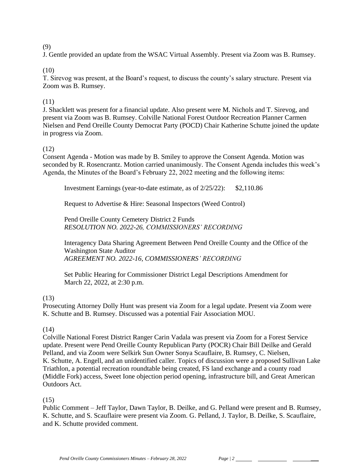### (9)

J. Gentle provided an update from the WSAC Virtual Assembly. Present via Zoom was B. Rumsey.

# (10)

T. Sirevog was present, at the Board's request, to discuss the county's salary structure. Present via Zoom was B. Rumsey.

# (11)

J. Shacklett was present for a financial update. Also present were M. Nichols and T. Sirevog, and present via Zoom was B. Rumsey. Colville National Forest Outdoor Recreation Planner Carmen Nielsen and Pend Oreille County Democrat Party (POCD) Chair Katherine Schutte joined the update in progress via Zoom.

# (12)

Consent Agenda - Motion was made by B. Smiley to approve the Consent Agenda. Motion was seconded by R. Rosencrantz. Motion carried unanimously. The Consent Agenda includes this week's Agenda, the Minutes of the Board's February 22, 2022 meeting and the following items:

Investment Earnings (year-to-date estimate, as of 2/25/22): \$2,110.86

Request to Advertise & Hire: Seasonal Inspectors (Weed Control)

Pend Oreille County Cemetery District 2 Funds *RESOLUTION NO. 2022-26, COMMISSIONERS' RECORDING* 

Interagency Data Sharing Agreement Between Pend Oreille County and the Office of the Washington State Auditor *AGREEMENT NO. 2022-16, COMMISSIONERS' RECORDING*

Set Public Hearing for Commissioner District Legal Descriptions Amendment for March 22, 2022, at 2:30 p.m.

## (13)

Prosecuting Attorney Dolly Hunt was present via Zoom for a legal update. Present via Zoom were K. Schutte and B. Rumsey. Discussed was a potential Fair Association MOU.

## (14)

Colville National Forest District Ranger Carin Vadala was present via Zoom for a Forest Service update. Present were Pend Oreille County Republican Party (POCR) Chair Bill Deilke and Gerald Pelland, and via Zoom were Selkirk Sun Owner Sonya Scauflaire, B. Rumsey, C. Nielsen, K. Schutte, A. Engell, and an unidentified caller. Topics of discussion were a proposed Sullivan Lake Triathlon, a potential recreation roundtable being created, FS land exchange and a county road (Middle Fork) access, Sweet Ione objection period opening, infrastructure bill, and Great American Outdoors Act.

## (15)

Public Comment – Jeff Taylor, Dawn Taylor, B. Deilke, and G. Pelland were present and B. Rumsey, K. Schutte, and S. Scauflaire were present via Zoom. G. Pelland, J. Taylor, B. Deilke, S. Scauflaire, and K. Schutte provided comment.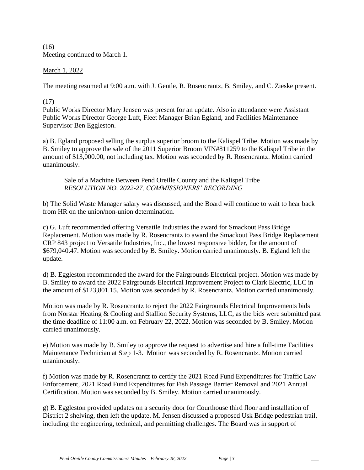$(16)$ Meeting continued to March 1.

### March 1, 2022

The meeting resumed at 9:00 a.m. with J. Gentle, R. Rosencrantz, B. Smiley, and C. Zieske present.

#### (17)

Public Works Director Mary Jensen was present for an update. Also in attendance were Assistant Public Works Director George Luft, Fleet Manager Brian Egland, and Facilities Maintenance Supervisor Ben Eggleston.

a) B. Egland proposed selling the surplus superior broom to the Kalispel Tribe. Motion was made by B. Smiley to approve the sale of the 2011 Superior Broom VIN#811259 to the Kalispel Tribe in the amount of \$13,000.00, not including tax. Motion was seconded by R. Rosencrantz. Motion carried unanimously.

Sale of a Machine Between Pend Oreille County and the Kalispel Tribe *RESOLUTION NO. 2022-27, COMMISSIONERS' RECORDING* 

b) The Solid Waste Manager salary was discussed, and the Board will continue to wait to hear back from HR on the union/non-union determination.

c) G. Luft recommended offering Versatile Industries the award for Smackout Pass Bridge Replacement. Motion was made by R. Rosencrantz to award the Smackout Pass Bridge Replacement CRP 843 project to Versatile Industries, Inc., the lowest responsive bidder, for the amount of \$679,040.47. Motion was seconded by B. Smiley. Motion carried unanimously. B. Egland left the update.

d) B. Eggleston recommended the award for the Fairgrounds Electrical project. Motion was made by B. Smiley to award the 2022 Fairgrounds Electrical Improvement Project to Clark Electric, LLC in the amount of \$123,801.15. Motion was seconded by R. Rosencrantz. Motion carried unanimously.

Motion was made by R. Rosencrantz to reject the 2022 Fairgrounds Electrical Improvements bids from Norstar Heating & Cooling and Stallion Security Systems, LLC, as the bids were submitted past the time deadline of 11:00 a.m. on February 22, 2022. Motion was seconded by B. Smiley. Motion carried unanimously.

e) Motion was made by B. Smiley to approve the request to advertise and hire a full-time Facilities Maintenance Technician at Step 1-3. Motion was seconded by R. Rosencrantz. Motion carried unanimously.

f) Motion was made by R. Rosencrantz to certify the 2021 Road Fund Expenditures for Traffic Law Enforcement, 2021 Road Fund Expenditures for Fish Passage Barrier Removal and 2021 Annual Certification. Motion was seconded by B. Smiley. Motion carried unanimously.

g) B. Eggleston provided updates on a security door for Courthouse third floor and installation of District 2 shelving, then left the update. M. Jensen discussed a proposed Usk Bridge pedestrian trail, including the engineering, technical, and permitting challenges. The Board was in support of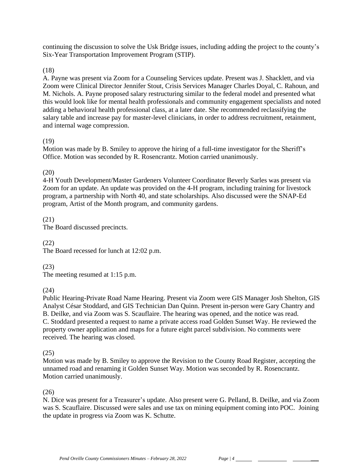continuing the discussion to solve the Usk Bridge issues, including adding the project to the county's Six-Year Transportation Improvement Program (STIP).

### (18)

A. Payne was present via Zoom for a Counseling Services update. Present was J. Shacklett, and via Zoom were Clinical Director Jennifer Stout, Crisis Services Manager Charles Doyal, C. Rahoun, and M. Nichols. A. Payne proposed salary restructuring similar to the federal model and presented what this would look like for mental health professionals and community engagement specialists and noted adding a behavioral health professional class, at a later date. She recommended reclassifying the salary table and increase pay for master-level clinicians, in order to address recruitment, retainment, and internal wage compression.

### (19)

Motion was made by B. Smiley to approve the hiring of a full-time investigator for the Sheriff's Office. Motion was seconded by R. Rosencrantz. Motion carried unanimously.

## (20)

4-H Youth Development/Master Gardeners Volunteer Coordinator Beverly Sarles was present via Zoom for an update. An update was provided on the 4-H program, including training for livestock program, a partnership with North 40, and state scholarships. Also discussed were the SNAP-Ed program, Artist of the Month program, and community gardens.

### (21)

The Board discussed precincts.

## (22)

The Board recessed for lunch at 12:02 p.m.

## (23)

The meeting resumed at 1:15 p.m.

## (24)

Public Hearing-Private Road Name Hearing. Present via Zoom were GIS Manager Josh Shelton, GIS Analyst César Stoddard, and GIS Technician Dan Quinn. Present in-person were Gary Chantry and B. Deilke, and via Zoom was S. Scauflaire. The hearing was opened, and the notice was read. C. Stoddard presented a request to name a private access road Golden Sunset Way. He reviewed the property owner application and maps for a future eight parcel subdivision. No comments were received. The hearing was closed.

#### (25)

Motion was made by B. Smiley to approve the Revision to the County Road Register, accepting the unnamed road and renaming it Golden Sunset Way. Motion was seconded by R. Rosencrantz. Motion carried unanimously.

#### (26)

N. Dice was present for a Treasurer's update. Also present were G. Pelland, B. Deilke, and via Zoom was S. Scauflaire. Discussed were sales and use tax on mining equipment coming into POC. Joining the update in progress via Zoom was K. Schutte.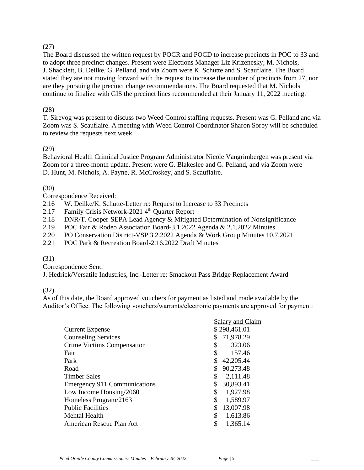# (27)

The Board discussed the written request by POCR and POCD to increase precincts in POC to 33 and to adopt three precinct changes. Present were Elections Manager Liz Krizenesky, M. Nichols, J. Shacklett, B. Deilke, G. Pelland, and via Zoom were K. Schutte and S. Scauflaire. The Board stated they are not moving forward with the request to increase the number of precincts from 27, nor are they pursuing the precinct change recommendations. The Board requested that M. Nichols continue to finalize with GIS the precinct lines recommended at their January 11, 2022 meeting.

# (28)

T. Sirevog was present to discuss two Weed Control staffing requests. Present was G. Pelland and via Zoom was S. Scauflaire. A meeting with Weed Control Coordinator Sharon Sorby will be scheduled to review the requests next week.

## (29)

Behavioral Health Criminal Justice Program Administrator Nicole Vangrimbergen was present via Zoom for a three-month update. Present were G. Blakeslee and G. Pelland, and via Zoom were D. Hunt, M. Nichols, A. Payne, R. McCroskey, and S. Scauflaire.

# (30)

Correspondence Received:

- 2.16 W. Deilke/K. Schutte-Letter re: Request to Increase to 33 Precincts
- 2.17 Family Crisis Network-2021 4th Quarter Report
- 2.18 DNR/T. Cooper-SEPA Lead Agency & Mitigated Determination of Nonsignificance
- 2.19 POC Fair & Rodeo Association Board-3.1.2022 Agenda & 2.1.2022 Minutes
- 2.20 PO Conservation District-VSP 3.2.2022 Agenda & Work Group Minutes 10.7.2021
- 2.21 POC Park & Recreation Board-2.16.2022 Draft Minutes

## (31)

Correspondence Sent:

J. Hedrick/Versatile Industries, Inc.-Letter re: Smackout Pass Bridge Replacement Award

## (32)

As of this date, the Board approved vouchers for payment as listed and made available by the Auditor's Office. The following vouchers/warrants/electronic payments are approved for payment:

|                              | Salary and Claim |
|------------------------------|------------------|
| <b>Current Expense</b>       | \$298,461.01     |
| <b>Counseling Services</b>   | 71,978.29        |
| Crime Victims Compensation   | 323.06           |
| Fair                         | 157.46           |
| Park                         | 42,205.44        |
| Road                         | 90,273.48        |
| Timber Sales                 | 2,111.48         |
| Emergency 911 Communications | 30,893.41        |
| Low Income Housing/2060      | 1,927.98<br>S    |
| Homeless Program/2163        | 1,589.97         |
| <b>Public Facilities</b>     | \$<br>13,007.98  |
| <b>Mental Health</b>         | \$<br>1,613.86   |
| American Rescue Plan Act     | 1,365.14         |
|                              |                  |